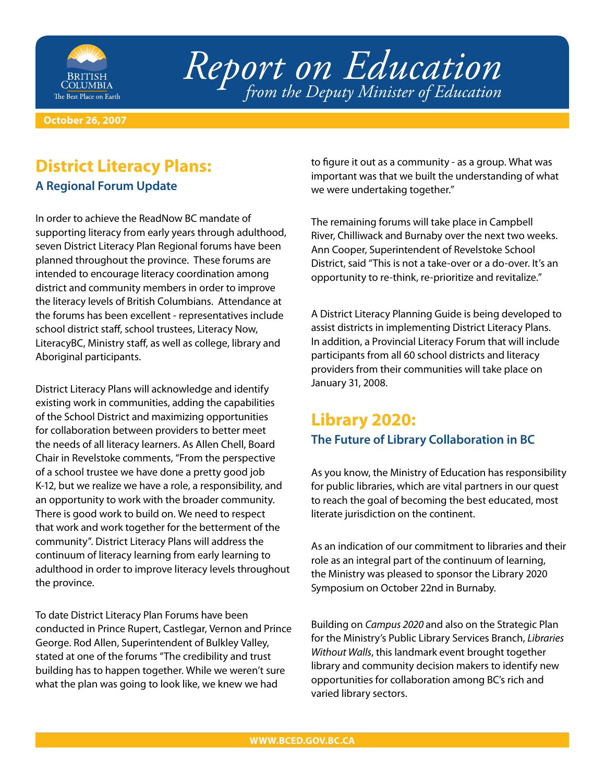

*Report on Education from the Deputy Minister of Education*

**October 26, 2007**

# **District Literacy Plans:**

#### **A Regional Forum Update**

In order to achieve the ReadNow BC mandate of supporting literacy from early years through adulthood, seven District Literacy Plan Regional forums have been planned throughout the province. These forums are intended to encourage literacy coordination among district and community members in order to improve the literacy levels of British Columbians. Attendance at the forums has been excellent - representatives include school district staff, school trustees, Literacy Now, LiteracyBC, Ministry staff, as well as college, library and Aboriginal participants.

District Literacy Plans will acknowledge and identify existing work in communities, adding the capabilities of the School District and maximizing opportunities for collaboration between providers to better meet the needs of all literacy learners. As Allen Chell, Board Chair in Revelstoke comments, "From the perspective of a school trustee we have done a pretty good job K-12, but we realize we have a role, a responsibility, and an opportunity to work with the broader community. There is good work to build on. We need to respect that work and work together for the betterment of the community". District Literacy Plans will address the continuum of literacy learning from early learning to adulthood in order to improve literacy levels throughout the province.

To date District Literacy Plan Forums have been conducted in Prince Rupert, Castlegar, Vernon and Prince George. Rod Allen, Superintendent of Bulkley Valley, stated at one of the forums "The credibility and trust building has to happen together. While we weren't sure what the plan was going to look like, we knew we had

to figure it out as a community - as a group. What was important was that we built the understanding of what we were undertaking together."

The remaining forums will take place in Campbell River, Chilliwack and Burnaby over the next two weeks. Ann Cooper, Superintendent of Revelstoke School District, said "This is not a take-over or a do-over. It's an opportunity to re-think, re-prioritize and revitalize."

A District Literacy Planning Guide is being developed to assist districts in implementing District Literacy Plans. In addition, a Provincial Literacy Forum that will include participants from all 60 school districts and literacy providers from their communities will take place on January 31, 2008.

#### **Library 2020: The Future of Library Collaboration in BC**

As you know, the Ministry of Education has responsibility for public libraries, which are vital partners in our quest to reach the goal of becoming the best educated, most literate jurisdiction on the continent.

As an indication of our commitment to libraries and their role as an integral part of the continuum of learning, the Ministry was pleased to sponsor the Library 2020 Symposium on October 22nd in Burnaby.

Building on *Campus 2020* and also on the Strategic Plan for the Ministry's Public Library Services Branch, *Libraries Without Walls*, this landmark event brought together library and community decision makers to identify new opportunities for collaboration among BC's rich and varied library sectors.